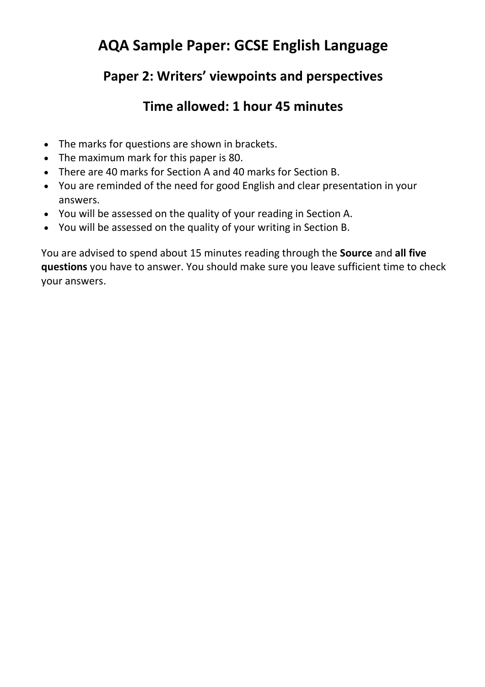# **AQA Sample Paper: GCSE English Language**

# **Paper 2: Writers' viewpoints and perspectives**

## **Time allowed: 1 hour 45 minutes**

- The marks for questions are shown in brackets.
- The maximum mark for this paper is 80.
- There are 40 marks for Section A and 40 marks for Section B.
- You are reminded of the need for good English and clear presentation in your answers.
- You will be assessed on the quality of your reading in Section A.
- You will be assessed on the quality of your writing in Section B.

You are advised to spend about 15 minutes reading through the **Source** and **all five questions** you have to answer. You should make sure you leave sufficient time to check your answers.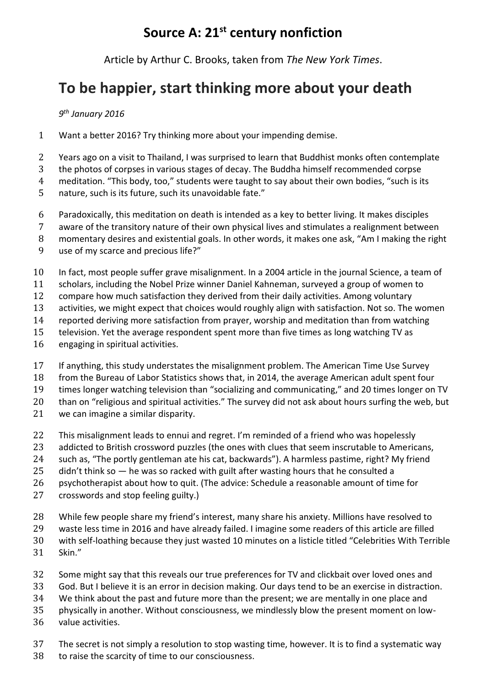# **Source A: 21 st century nonfiction**

Article by Arthur C. Brooks, taken from *The New York Times*.

# **To be happier, start thinking more about your death**

*th January 2016*

- Want a better 2016? Try thinking more about your impending demise.
- Years ago on a visit to Thailand, I was surprised to learn that Buddhist monks often contemplate
- the photos of corpses in various stages of decay. The Buddha himself recommended corpse
- meditation. "This body, too," students were taught to say about their own bodies, "such is its
- nature, such is its future, such its unavoidable fate."
- Paradoxically, this meditation on death is intended as a key to better living. It makes disciples
- aware of the transitory nature of their own physical lives and stimulates a realignment between
- momentary desires and existential goals. In other words, it makes one ask, "Am I making the right
- use of my scarce and precious life?"
- In fact, most people suffer grave misalignment. In a 2004 article in the journal Science, a team of
- scholars, including the Nobel Prize winner Daniel Kahneman, surveyed a group of women to
- compare how much satisfaction they derived from their daily activities. Among voluntary
- activities, we might expect that choices would roughly align with satisfaction. Not so. The women
- reported deriving more satisfaction from prayer, worship and meditation than from watching
- television. Yet the average respondent spent more than five times as long watching TV as
- engaging in spiritual activities.
- 17 If anything, this study understates the misalignment problem. The American Time Use Survey
- from the Bureau of Labor Statistics shows that, in 2014, the average American adult spent four
- times longer watching television than "socializing and communicating," and 20 times longer on TV
- than on "religious and spiritual activities." The survey did not ask about hours surfing the web, but
- we can imagine a similar disparity.
- This misalignment leads to ennui and regret. I'm reminded of a friend who was hopelessly
- 23 addicted to British crossword puzzles (the ones with clues that seem inscrutable to Americans,
- such as, "The portly gentleman ate his cat, backwards"). A harmless pastime, right? My friend
- 25 didn't think so  $-$  he was so racked with guilt after wasting hours that he consulted a
- psychotherapist about how to quit. (The advice: Schedule a reasonable amount of time for
- crosswords and stop feeling guilty.)
- While few people share my friend's interest, many share his anxiety. Millions have resolved to
- waste less time in 2016 and have already failed. I imagine some readers of this article are filled
- with self-loathing because they just wasted 10 minutes on a listicle titled "Celebrities With Terrible
- Skin."
- Some might say that this reveals our true preferences for TV and clickbait over loved ones and
- God. But I believe it is an error in decision making. Our days tend to be an exercise in distraction.
- We think about the past and future more than the present; we are mentally in one place and
- physically in another. Without consciousness, we mindlessly blow the present moment on low-
- value activities.
- The secret is not simply a resolution to stop wasting time, however. It is to find a systematic way
- to raise the scarcity of time to our consciousness.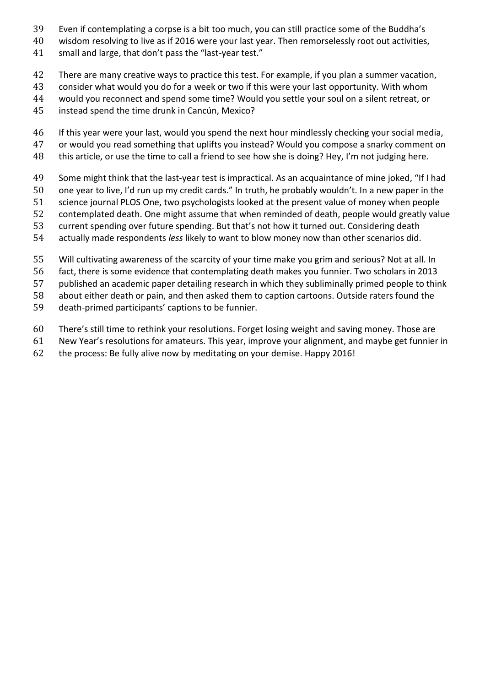- Even if contemplating a corpse is a bit too much, you can still practice some of the Buddha's
- wisdom resolving to live as if 2016 were your last year. Then remorselessly root out activities,
- small and large, that don't pass the "last-year test."
- 42 There are many creative ways to practice this test. For example, if you plan a summer vacation,
- consider what would you do for a week or two if this were your last opportunity. With whom
- would you reconnect and spend some time? Would you settle your soul on a silent retreat, or
- instead spend the time drunk in Cancún, Mexico?
- If this year were your last, would you spend the next hour mindlessly checking your social media,
- or would you read something that uplifts you instead? Would you compose a snarky comment on
- this article, or use the time to call a friend to see how she is doing? Hey, I'm not judging here.
- Some might think that the last-year test is impractical. As an acquaintance of mine joked, "If I had
- one year to live, I'd run up my credit cards." In truth, he probably wouldn't. In a new paper in the
- science journal PLOS One, two psychologists looked at the present value of money when people
- contemplated death. One might assume that when reminded of death, people would greatly value
- current spending over future spending. But that's not how it turned out. Considering death
- actually made respondents *less* likely to want to blow money now than other scenarios did.
- Will cultivating awareness of the scarcity of your time make you grim and serious? Not at all. In
- fact, there is some evidence that contemplating death makes you funnier. Two scholars in 2013
- published an academic paper detailing research in which they subliminally primed people to think
- about either death or pain, and then asked them to caption cartoons. Outside raters found the
- death-primed participants' captions to be funnier.
- There's still time to rethink your resolutions. Forget losing weight and saving money. Those are
- New Year's resolutions for amateurs. This year, improve your alignment, and maybe get funnier in
- the process: Be fully alive now by meditating on your demise. Happy 2016!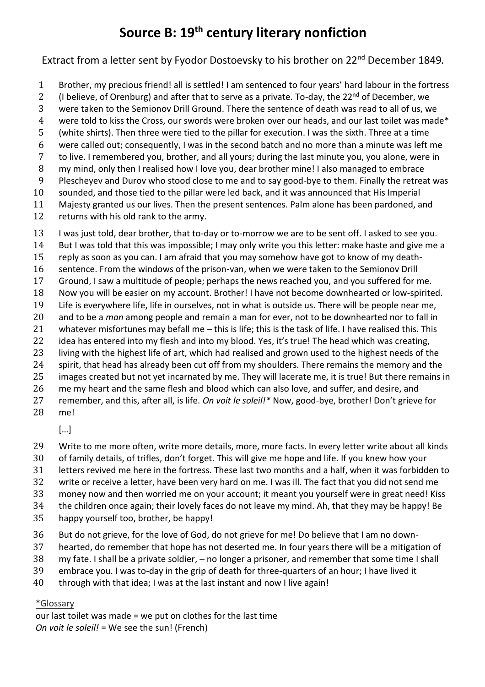# **Source B: 19th century literary nonfiction**

Extract from a letter sent by Fyodor Dostoevsky to his brother on 22nd December 1849*.*

 Brother, my precious friend! all is settled! I am sentenced to four years' hard labour in the fortress 2 (I believe, of Orenburg) and after that to serve as a private. To-day, the  $22^{nd}$  of December, we were taken to the Semionov Drill Ground. There the sentence of death was read to all of us, we 4 were told to kiss the Cross, our swords were broken over our heads, and our last toilet was made\* (white shirts). Then three were tied to the pillar for execution. I was the sixth. Three at a time were called out; consequently, I was in the second batch and no more than a minute was left me to live. I remembered you, brother, and all yours; during the last minute you, you alone, were in my mind, only then I realised how I love you, dear brother mine! I also managed to embrace Plescheyev and Durov who stood close to me and to say good-bye to them. Finally the retreat was sounded, and those tied to the pillar were led back, and it was announced that His Imperial Majesty granted us our lives. Then the present sentences. Palm alone has been pardoned, and returns with his old rank to the army. I was just told, dear brother, that to-day or to-morrow we are to be sent off. I asked to see you. But I was told that this was impossible; I may only write you this letter: make haste and give me a reply as soon as you can. I am afraid that you may somehow have got to know of my death- sentence. From the windows of the prison-van, when we were taken to the Semionov Drill Ground, I saw a multitude of people; perhaps the news reached you, and you suffered for me. Now you will be easier on my account. Brother! I have not become downhearted or low-spirited.

Life is everywhere life, life in ourselves, not in what is outside us. There will be people near me,

and to be a *man* among people and remain a man for ever, not to be downhearted nor to fall in

 whatever misfortunes may befall me – this is life; this is the task of life. I have realised this. This 22 idea has entered into my flesh and into my blood. Yes, it's true! The head which was creating,

living with the highest life of art, which had realised and grown used to the highest needs of the

24 spirit, that head has already been cut off from my shoulders. There remains the memory and the

images created but not yet incarnated by me. They will lacerate me, it is true! But there remains in

me my heart and the same flesh and blood which can also love, and suffer, and desire, and

 remember, and this, after all, is life. *On voit le soleil!\** Now, good-bye, brother! Don't grieve for me!

#### […]

 Write to me more often, write more details, more, more facts. In every letter write about all kinds of family details, of trifles, don't forget. This will give me hope and life. If you knew how your letters revived me here in the fortress. These last two months and a half, when it was forbidden to write or receive a letter, have been very hard on me. I was ill. The fact that you did not send me money now and then worried me on your account; it meant you yourself were in great need! Kiss the children once again; their lovely faces do not leave my mind. Ah, that they may be happy! Be happy yourself too, brother, be happy!

But do not grieve, for the love of God, do not grieve for me! Do believe that I am no down-

hearted, do remember that hope has not deserted me. In four years there will be a mitigation of

my fate. I shall be a private soldier, – no longer a prisoner, and remember that some time I shall

embrace you. I was to-day in the grip of death for three-quarters of an hour; I have lived it

through with that idea; I was at the last instant and now I live again!

#### \*Glossary

our last toilet was made = we put on clothes for the last time *On voit le soleil!* = We see the sun! (French)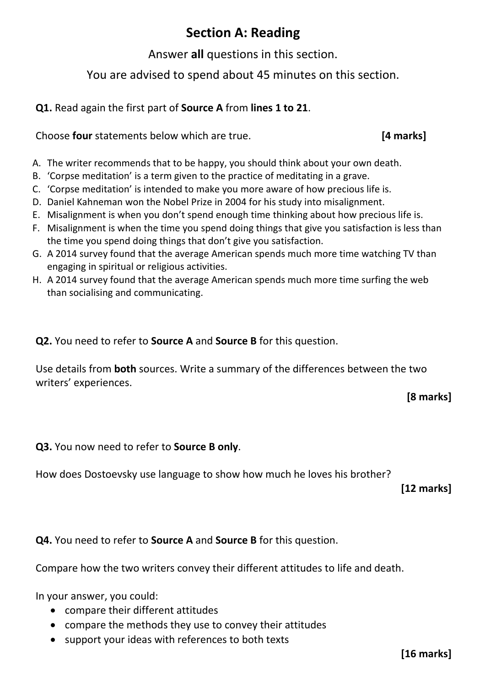# **Section A: Reading**

Answer **all** questions in this section.

You are advised to spend about 45 minutes on this section.

### **Q1.** Read again the first part of **Source A** from **lines 1 to 21**.

Choose **four** statements below which are true. **[4 marks]**

- A. The writer recommends that to be happy, you should think about your own death.
- B. 'Corpse meditation' is a term given to the practice of meditating in a grave.
- C. 'Corpse meditation' is intended to make you more aware of how precious life is.
- D. Daniel Kahneman won the Nobel Prize in 2004 for his study into misalignment.
- E. Misalignment is when you don't spend enough time thinking about how precious life is.
- F. Misalignment is when the time you spend doing things that give you satisfaction is less than the time you spend doing things that don't give you satisfaction.
- G. A 2014 survey found that the average American spends much more time watching TV than engaging in spiritual or religious activities.
- H. A 2014 survey found that the average American spends much more time surfing the web than socialising and communicating.

#### **Q2.** You need to refer to **Source A** and **Source B** for this question.

Use details from **both** sources. Write a summary of the differences between the two writers' experiences.

**[8 marks]**

**Q3.** You now need to refer to **Source B only**.

How does Dostoevsky use language to show how much he loves his brother?

**[12 marks]**

**Q4.** You need to refer to **Source A** and **Source B** for this question.

Compare how the two writers convey their different attitudes to life and death.

In your answer, you could:

- compare their different attitudes
- compare the methods they use to convey their attitudes
- support your ideas with references to both texts

**[16 marks]**